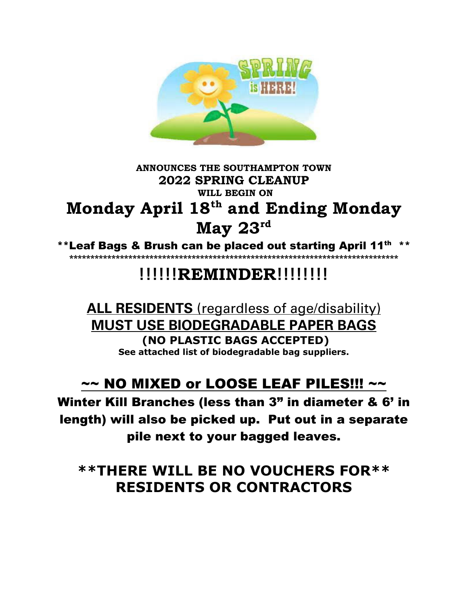

## **ANNOUNCES THE SOUTHAMPTON TOWN 2022 SPRING CLEANUP WILL BEGIN ON Monday April 18th and Ending Monday May 23rd**

\*\*Leaf Bags & Brush can be placed out starting April 11<sup>th</sup> \*\* **\*\*\*\*\*\*\*\*\*\*\*\*\*\*\*\*\*\*\*\*\*\*\*\*\*\*\*\*\*\*\*\*\*\*\*\*\*\*\*\*\*\*\*\*\*\*\*\*\*\*\*\*\*\*\*\*\*\*\*\*\*\*\*\*\*\*\*\*\*\*\*\*\*\*\*\*\*\*** 

# **!!!!!!REMINDER!!!!!!!!**

## **ALL RESIDENTS** (regardless of age/disability) **MUST USE BIODEGRADABLE PAPER BAGS (NO PLASTIC BAGS ACCEPTED) See attached list of biodegradable bag suppliers.**

## $\sim$  NO MIXED or LOOSE LEAF PILES!!!  $\sim$

Winter Kill Branches (less than 3" in diameter & 6' in length) will also be picked up. Put out in a separate pile next to your bagged leaves.

**\*\*THERE WILL BE NO VOUCHERS FOR\*\* RESIDENTS OR CONTRACTORS**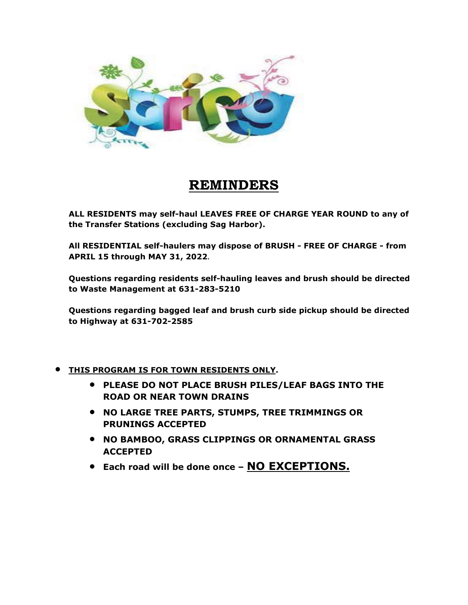

## **REMINDERS**

**ALL RESIDENTS may self-haul LEAVES FREE OF CHARGE YEAR ROUND to any of the Transfer Stations (excluding Sag Harbor).** 

**All RESIDENTIAL self-haulers may dispose of BRUSH - FREE OF CHARGE - from APRIL 15 through MAY 31, 2022.**

**Questions regarding residents self-hauling leaves and brush should be directed to Waste Management at 631-283-5210**

**Questions regarding bagged leaf and brush curb side pickup should be directed to Highway at 631-702-2585**

- **THIS PROGRAM IS FOR TOWN RESIDENTS ONLY.** 
	- **PLEASE DO NOT PLACE BRUSH PILES/LEAF BAGS INTO THE ROAD OR NEAR TOWN DRAINS**
	- **NO LARGE TREE PARTS, STUMPS, TREE TRIMMINGS OR PRUNINGS ACCEPTED**
	- **NO BAMBOO, GRASS CLIPPINGS OR ORNAMENTAL GRASS ACCEPTED**
	- **Each road will be done once – NO EXCEPTIONS.**